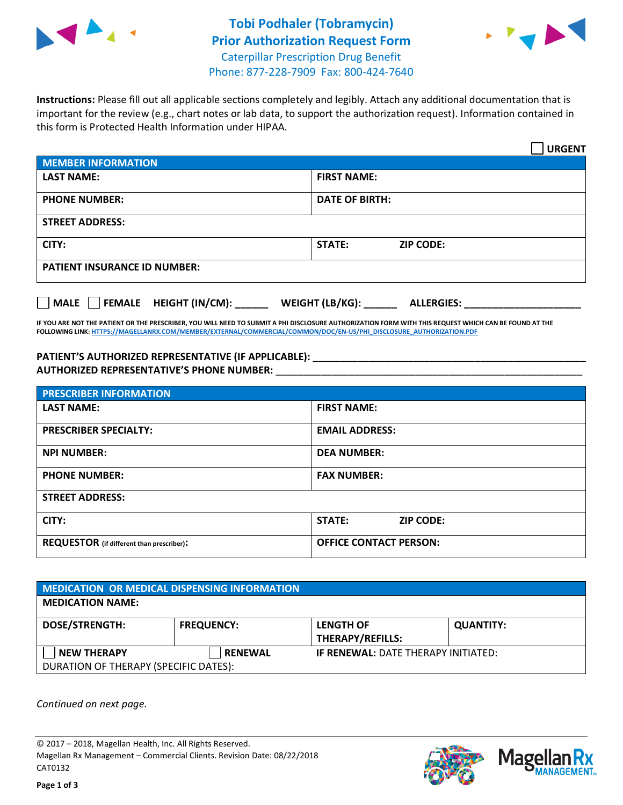



**Instructions:** Please fill out all applicable sections completely and legibly. Attach any additional documentation that is important for the review (e.g., chart notes or lab data, to support the authorization request). Information contained in this form is Protected Health Information under HIPAA.

|                                       | <b>URGENT</b>                        |  |  |  |
|---------------------------------------|--------------------------------------|--|--|--|
| <b>MEMBER INFORMATION</b>             |                                      |  |  |  |
| <b>LAST NAME:</b>                     | <b>FIRST NAME:</b>                   |  |  |  |
| <b>PHONE NUMBER:</b>                  | <b>DATE OF BIRTH:</b>                |  |  |  |
| <b>STREET ADDRESS:</b>                |                                      |  |  |  |
| CITY:                                 | <b>ZIP CODE:</b><br><b>STATE:</b>    |  |  |  |
| <b>PATIENT INSURANCE ID NUMBER:</b>   |                                      |  |  |  |
| FEMALE HEIGHT (IN/CM):<br><b>MALE</b> | WEIGHT (LB/KG):<br><b>ALLERGIES:</b> |  |  |  |

**IF YOU ARE NOT THE PATIENT OR THE PRESCRIBER, YOU WILL NEED TO SUBMIT A PHI DISCLOSURE AUTHORIZATION FORM WITH THIS REQUEST WHICH CAN BE FOUND AT THE FOLLOWING LINK[: HTTPS://MAGELLANRX.COM/MEMBER/EXTERNAL/COMMERCIAL/COMMON/DOC/EN-US/PHI\\_DISCLOSURE\\_AUTHORIZATION.PDF](https://magellanrx.com/member/external/commercial/common/doc/en-us/PHI_Disclosure_Authorization.pdf)**

PATIENT'S AUTHORIZED REPRESENTATIVE (IF APPLICABLE): **AUTHORIZED REPRESENTATIVE'S PHONE NUMBER:** \_\_\_\_\_\_\_\_\_\_\_\_\_\_\_\_\_\_\_\_\_\_\_\_\_\_\_\_\_\_\_\_\_\_\_\_\_\_\_\_\_\_\_\_\_\_\_\_\_\_\_\_\_\_\_

| <b>PRESCRIBER INFORMATION</b>             |                               |  |  |  |
|-------------------------------------------|-------------------------------|--|--|--|
| <b>LAST NAME:</b>                         | <b>FIRST NAME:</b>            |  |  |  |
| <b>PRESCRIBER SPECIALTY:</b>              | <b>EMAIL ADDRESS:</b>         |  |  |  |
| <b>NPI NUMBER:</b>                        | <b>DEA NUMBER:</b>            |  |  |  |
| <b>PHONE NUMBER:</b>                      | <b>FAX NUMBER:</b>            |  |  |  |
| <b>STREET ADDRESS:</b>                    |                               |  |  |  |
| CITY:                                     | STATE:<br><b>ZIP CODE:</b>    |  |  |  |
| REQUESTOR (if different than prescriber): | <b>OFFICE CONTACT PERSON:</b> |  |  |  |

| MEDICATION OR MEDICAL DISPENSING INFORMATION |                   |                                            |                  |  |
|----------------------------------------------|-------------------|--------------------------------------------|------------------|--|
| <b>MEDICATION NAME:</b>                      |                   |                                            |                  |  |
| <b>DOSE/STRENGTH:</b>                        | <b>FREQUENCY:</b> | <b>LENGTH OF</b>                           | <b>QUANTITY:</b> |  |
|                                              |                   | THERAPY/REFILLS:                           |                  |  |
| <b>NEW THERAPY</b>                           | <b>RENEWAL</b>    | <b>IF RENEWAL: DATE THERAPY INITIATED:</b> |                  |  |
| DURATION OF THERAPY (SPECIFIC DATES):        |                   |                                            |                  |  |

*Continued on next page.*

© 2017 – 2018, Magellan Health, Inc. All Rights Reserved. Magellan Rx Management – Commercial Clients. Revision Date: 08/22/2018 CAT0132



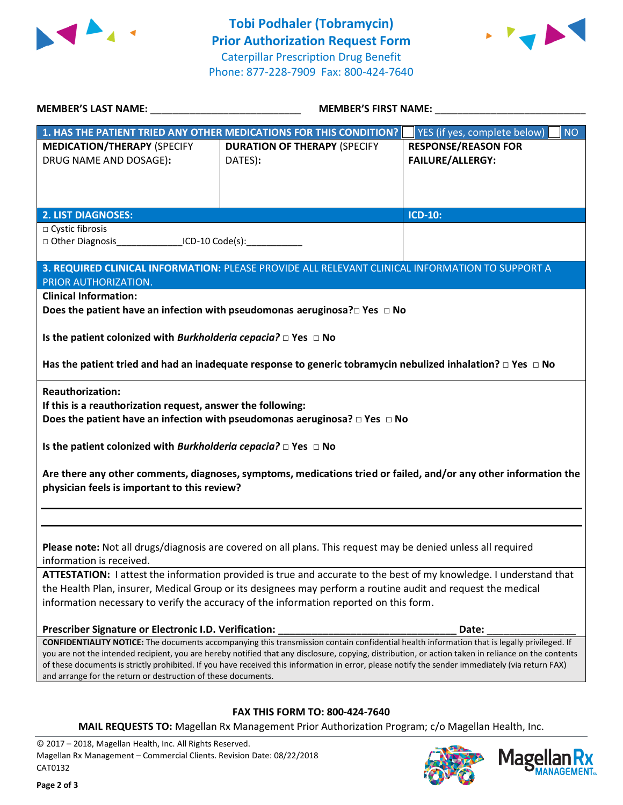



| MEMBER'S LAST NAME: __________________                                                                                                                           | <b>MEMBER'S FIRST NAME:</b>                                                                                                                                                                                                                                                                                                                                                                                                                            |                                                       |  |  |
|------------------------------------------------------------------------------------------------------------------------------------------------------------------|--------------------------------------------------------------------------------------------------------------------------------------------------------------------------------------------------------------------------------------------------------------------------------------------------------------------------------------------------------------------------------------------------------------------------------------------------------|-------------------------------------------------------|--|--|
|                                                                                                                                                                  | 1. HAS THE PATIENT TRIED ANY OTHER MEDICATIONS FOR THIS CONDITION?                                                                                                                                                                                                                                                                                                                                                                                     | <b>NO</b><br>YES (if yes, complete below)             |  |  |
| <b>MEDICATION/THERAPY (SPECIFY</b><br>DRUG NAME AND DOSAGE):                                                                                                     | <b>DURATION OF THERAPY (SPECIFY</b><br>DATES):                                                                                                                                                                                                                                                                                                                                                                                                         | <b>RESPONSE/REASON FOR</b><br><b>FAILURE/ALLERGY:</b> |  |  |
| <b>2. LIST DIAGNOSES:</b>                                                                                                                                        |                                                                                                                                                                                                                                                                                                                                                                                                                                                        | <b>ICD-10:</b>                                        |  |  |
| □ Cystic fibrosis<br>□ Other Diagnosis _________________ICD-10 Code(s):                                                                                          |                                                                                                                                                                                                                                                                                                                                                                                                                                                        |                                                       |  |  |
| PRIOR AUTHORIZATION.                                                                                                                                             | 3. REQUIRED CLINICAL INFORMATION: PLEASE PROVIDE ALL RELEVANT CLINICAL INFORMATION TO SUPPORT A                                                                                                                                                                                                                                                                                                                                                        |                                                       |  |  |
| <b>Clinical Information:</b>                                                                                                                                     | Does the patient have an infection with pseudomonas aeruginosa? $\square$ Yes $\square$ No                                                                                                                                                                                                                                                                                                                                                             |                                                       |  |  |
| Is the patient colonized with Burkholderia cepacia? $\Box$ Yes $\Box$ No                                                                                         |                                                                                                                                                                                                                                                                                                                                                                                                                                                        |                                                       |  |  |
|                                                                                                                                                                  | Has the patient tried and had an inadequate response to generic tobramycin nebulized inhalation? $\Box$ Yes $\Box$ No                                                                                                                                                                                                                                                                                                                                  |                                                       |  |  |
| <b>Reauthorization:</b><br>If this is a reauthorization request, answer the following:                                                                           | Does the patient have an infection with pseudomonas aeruginosa? $\Box$ Yes $\Box$ No                                                                                                                                                                                                                                                                                                                                                                   |                                                       |  |  |
| Is the patient colonized with Burkholderia cepacia? $\Box$ Yes $\Box$ No                                                                                         |                                                                                                                                                                                                                                                                                                                                                                                                                                                        |                                                       |  |  |
| Are there any other comments, diagnoses, symptoms, medications tried or failed, and/or any other information the<br>physician feels is important to this review? |                                                                                                                                                                                                                                                                                                                                                                                                                                                        |                                                       |  |  |
|                                                                                                                                                                  |                                                                                                                                                                                                                                                                                                                                                                                                                                                        |                                                       |  |  |
| information is received.                                                                                                                                         | Please note: Not all drugs/diagnosis are covered on all plans. This request may be denied unless all required                                                                                                                                                                                                                                                                                                                                          |                                                       |  |  |
|                                                                                                                                                                  | ATTESTATION: I attest the information provided is true and accurate to the best of my knowledge. I understand that<br>the Health Plan, insurer, Medical Group or its designees may perform a routine audit and request the medical<br>information necessary to verify the accuracy of the information reported on this form.                                                                                                                           |                                                       |  |  |
| Prescriber Signature or Electronic I.D. Verification:                                                                                                            |                                                                                                                                                                                                                                                                                                                                                                                                                                                        | Date:                                                 |  |  |
| and arrange for the return or destruction of these documents.                                                                                                    | CONFIDENTIALITY NOTICE: The documents accompanying this transmission contain confidential health information that is legally privileged. If<br>you are not the intended recipient, you are hereby notified that any disclosure, copying, distribution, or action taken in reliance on the contents<br>of these documents is strictly prohibited. If you have received this information in error, please notify the sender immediately (via return FAX) |                                                       |  |  |
|                                                                                                                                                                  |                                                                                                                                                                                                                                                                                                                                                                                                                                                        |                                                       |  |  |
| <b>FAX THIS FORM TO: 800-424-7640</b><br>MAIL REQUESTS TO: Magellan Rx Management Prior Authorization Program; c/o Magellan Health, Inc.                         |                                                                                                                                                                                                                                                                                                                                                                                                                                                        |                                                       |  |  |
| @ 2017 - 2018 Magallan Hoalth Inc. All Bights Posenved                                                                                                           |                                                                                                                                                                                                                                                                                                                                                                                                                                                        |                                                       |  |  |

© 2017 – 2018, Magellan Health, Inc. All Rights Reserved. Magellan Rx Management – Commercial Clients. Revision Date: 08/22/2018 CAT0132



**Rx ANAGEMENT**<sub>SM</sub>